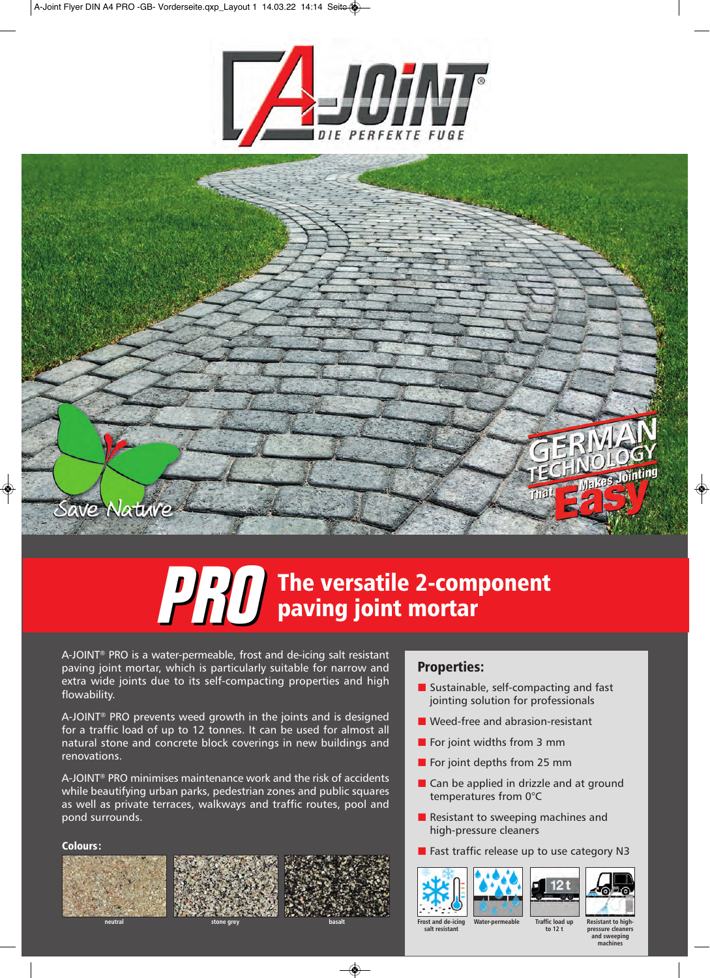



# **PRO** The versatile 2-component **paving joint mortar**

A-JOINT® PRO is a water-permeable, frost and de-icing salt resistant paving joint mortar, which is particularly suitable for narrow and extra wide joints due to its self-compacting properties and high flowability.

A-JOINT® PRO prevents weed growth in the joints and is designed for a traffic load of up to 12 tonnes. It can be used for almost all natural stone and concrete block coverings in new buildings and renovations.

A-JOINT® PRO minimises maintenance work and the risk of accidents while beautifying urban parks, pedestrian zones and public squares as well as private terraces, walkways and traffic routes, pool and pond surrounds.

## **Colours:**







## **Properties:**

- Sustainable, self-compacting and fast jointing solution for professionals
- Weed-free and abrasion-resistant
- $\blacksquare$  For joint widths from 3 mm
- For joint depths from 25 mm
- Can be applied in drizzle and at ground temperatures from 0°C
- Resistant to sweeping machines and high-pressure cleaners
- **Fast traffic release up to use category N3**



**salt resistant**







**Water-permeable Traffic load up to 12 t**

**Resistant to highpressure cleaners and sweeping machines**